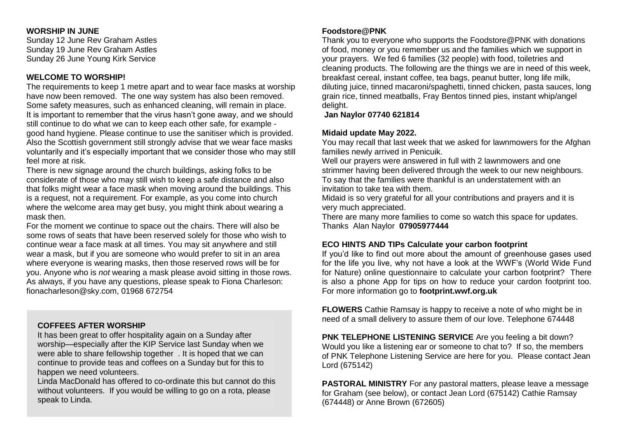#### **WORSHIP IN JUNE**

Sunday 12 June Rev Graham Astles Sunday 19 June Rev Graham Astles Sunday 26 June Young Kirk Service

## **WELCOME TO WORSHIP!**

The requirements to keep 1 metre apart and to wear face masks at worship have now been removed. The one way system has also been removed. Some safety measures, such as enhanced cleaning, will remain in place. It is important to remember that the virus hasn't gone away, and we should still continue to do what we can to keep each other safe, for example good hand hygiene. Please continue to use the sanitiser which is provided. Also the Scottish government still strongly advise that we wear face masks voluntarily and it's especially important that we consider those who may still feel more at risk.

There is new signage around the church buildings, asking folks to be considerate of those who may still wish to keep a safe distance and also that folks might wear a face mask when moving around the buildings. This is a request, not a requirement. For example, as you come into church where the welcome area may get busy, you might think about wearing a mask then.

For the moment we continue to space out the chairs. There will also be some rows of seats that have been reserved solely for those who wish to continue wear a face mask at all times. You may sit anywhere and still wear a mask, but if you are someone who would prefer to sit in an area where everyone is wearing masks, then those reserved rows will be for you. Anyone who is *not* wearing a mask please avoid sitting in those rows. As always, if you have any questions, please speak to Fiona Charleson: fionacharleson@sky.com, 01968 672754

## **COFFEES AFTER WORSHIP**

It has been great to offer hospitality again on a Sunday after worship—especially after the KIP Service last Sunday when we were able to share fellowship together . It is hoped that we can continue to provide teas and coffees on a Sunday but for this to happen we need volunteers.

Linda MacDonald has offered to co-ordinate this but cannot do this without volunteers. If you would be willing to go on a rota, please speak to Linda.

## **Foodstore@PNK**

Thank you to everyone who supports the Foodstore@PNK with donations of food, money or you remember us and the families which we support in your prayers. We fed 6 families (32 people) with food, toiletries and cleaning products. The following are the things we are in need of this week, breakfast cereal, instant coffee, tea bags, peanut butter, long life milk, diluting juice, tinned macaroni/spaghetti, tinned chicken, pasta sauces, long grain rice, tinned meatballs, Fray Bentos tinned pies, instant whip/angel delight.

#### **Jan Naylor 07740 621814**

#### **Midaid update May 2022.**

You may recall that last week that we asked for lawnmowers for the Afghan families newly arrived in Penicuik.

Well our prayers were answered in full with 2 lawnmowers and one strimmer having been delivered through the week to our new neighbours. To say that the families were thankful is an understatement with an invitation to take tea with them.

Midaid is so very grateful for all your contributions and prayers and it is very much appreciated.

There are many more families to come so watch this space for updates. Thanks Alan Naylor **07905977444**

#### **ECO HINTS AND TIPs Calculate your carbon footprint**

If you'd like to find out more about the amount of greenhouse gases used for the life you live, why not have a look at the WWF's (World Wide Fund for Nature) online questionnaire to calculate your carbon footprint? There is also a phone App for tips on how to reduce your cardon footprint too. For more information go to **footprint.wwf.org.uk**

**FLOWERS** Cathie Ramsay is happy to receive a note of who might be in need of a small delivery to assure them of our love. Telephone 674448

**PNK TELEPHONE LISTENING SERVICE** Are you feeling a bit down? Would you like a listening ear or someone to chat to? If so, the members of PNK Telephone Listening Service are here for you. Please contact Jean Lord (675142)

**PASTORAL MINISTRY** For any pastoral matters, please leave a message for Graham (see below), or contact Jean Lord (675142) Cathie Ramsay (674448) or Anne Brown (672605)